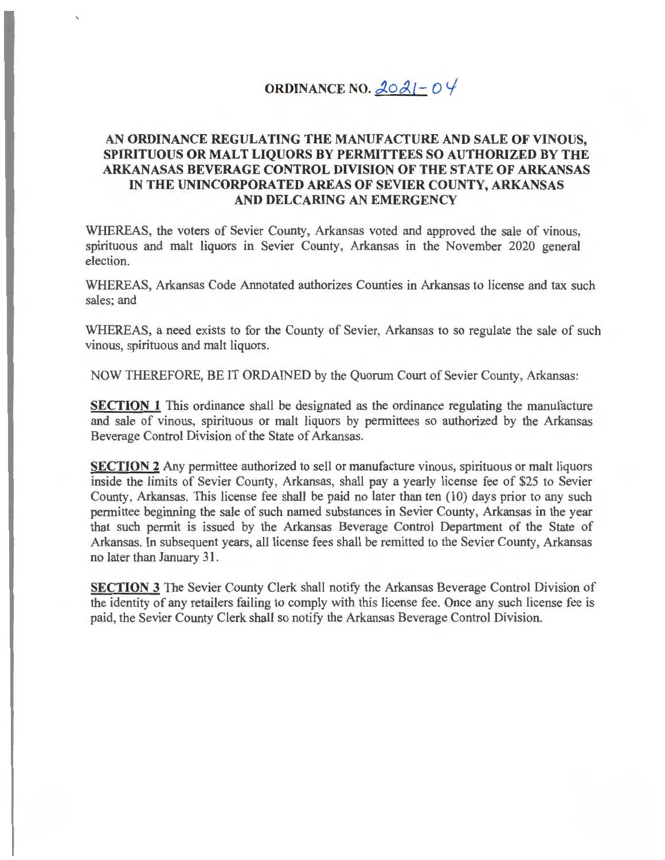## **ORDINANCE NO.**  $\angle 20 \angle 1 - 0 \angle 1$

## **AN ORDINANCE REGULATING THE MANUFACTURE AND SALE OF VINOUS, SPIRITUOUS OR MALT LIQUORS BY PERMITTEES SO AUTHORIZED BY THE ARKANASAS BEVERAGE CONTROL DIVISION OF THE STATE OF ARKANSAS IN THE UNINCORPORATED AREAS OF SEVIER COUNTY, ARKANSAS AND DELCARING AN EMERGENCY**

WHEREAS, the voters of Sevier County, Arkansas voted and approved the sale of vinous, spirituous and malt liquors in Sevier County, Arkansas in the November 2020 general election.

WHEREAS, Arkansas Code Annotated authorizes Counties in Arkansas to license and tax such sales; and

WHEREAS, a need exists to for the County of Sevier, Arkansas to so regulate the sale of such vinous, spirituous and malt liquors.

NOW THEREFORE, BE IT ORDAINED by the Quorum Court of Sevier County, Arkansas:

**SECTION 1** This ordinance shall be designated as the ordinance regulating the manufacture and sale of vinous, spirituous or malt liquors by permittees so authorized by the Arkansas Beverage Control Division of the State of Arkansas.

**SECTION 2** Any permittee authorized to sell or manufacture vinous, spirituous or malt liquors inside the limits of Sevier County, Arkansas, shall pay a yearly license fee of \$25 to Sevier County, Arkansas. This license fee shall be paid no later than ten (10) days prior to any such permittee beginning the sale of such named substances in Sevier County, Arkansas in the year that such permit is issued by the Arkansas Beverage Control Department of the State of Arkansas. In subsequent years, all license fees shall be remitted to the Sevier County, Arkansas no later than January 31.

**SECTION 3** The Sevier County Clerk shall notify the Arkansas Beverage Control Division of the identity of any retailers failing to comply with this license fee . Once any such license fee is paid, the Sevier County Clerk shall so notify the Arkansas Beverage Control Division.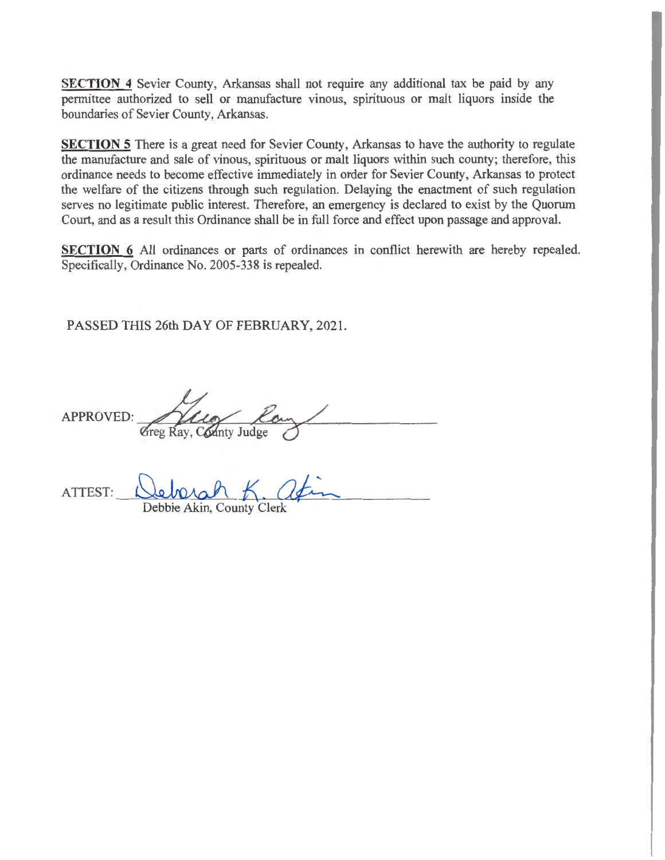**SECTION 4** Sevier County, Arkansas shall not require any additional tax be paid by any permittee authorized to sell or manufacture vinous, spirituous or malt liquors inside the boundaries of Sevier County, Arkansas.

**SECTION 5** There is a great need for Sevier County, Arkansas to have the authority to regulate the manufacture and sale of vinous, spirituous or malt liquors within such county; therefore, this ordinance needs to become effective immediately in order for Sevier County, Arkansas to protect the welfare of the citizens through such regulation. Delaying the enactment of such regulation serves no legitimate public interest. Therefore, an emergency is declared to exist by the Quorum Court, and as a result this Ordinance shall be in full force and effect upon passage and approval.

**SECTION 6** All ordinances or parts of ordinances in conflict herewith are hereby repealed. Specifically, Ordinance No. 2005-338 is repealed.

PASSED THIS 26th DAY OF FEBRUARY, 2021.

 $APPROVED:$   $\overbrace{\text{Greg Ray, County Judge}}$ 

ATTEST: Debbie Akin, County Clerk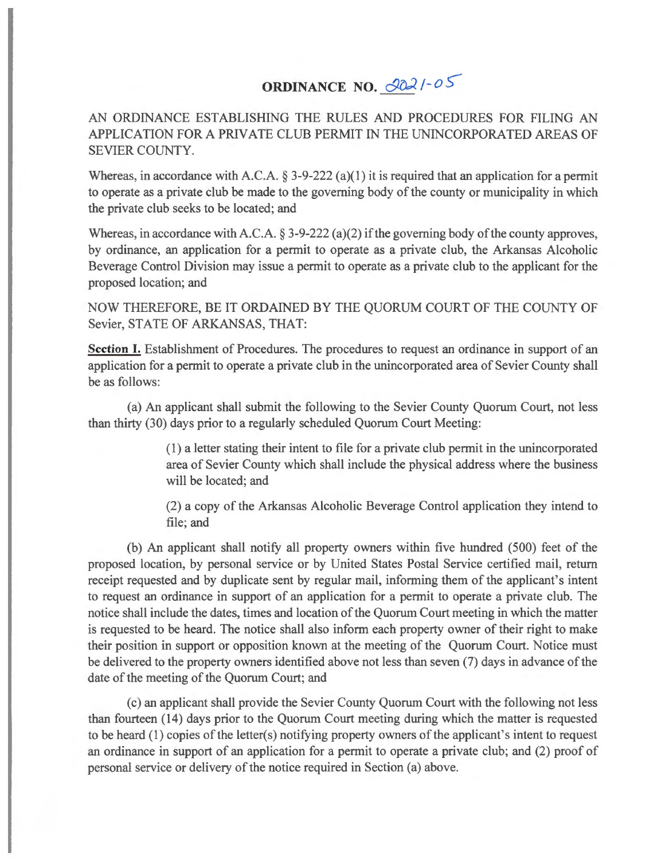## **ORDINANCE NO. 2021-05**

AN ORDINANCE ESTABLISHING THE RULES AND PROCEDURES FOR FILING AN APPLICATION FOR A PRIVATE CLUB PERMIT IN THE UNINCORPORATED AREAS OF SEVIER COUNTY.

Whereas, in accordance with A.C.A.  $\S 3$ -9-222 (a)(1) it is required that an application for a permit to operate as a private club be made to the governing body of the county or municipality in which the private club seeks to be located; and

Whereas, in accordance with A.C.A.  $\S 3-9-222$  (a)(2) if the governing body of the county approves, by ordinance, an application for a permit to operate as a private club, the Arkansas Alcoholic Beverage Control Division may issue a permit to operate as a private club to the applicant for the proposed location; and

NOW THEREFORE, BE IT ORDAINED BY THE QUORUM COURT OF THE COUNTY OF Sevier, STATE OF ARKANSAS, THAT:

**Section** I. Establishment of Procedures. The procedures to request an ordinance in support of an application for a permit to operate a private club in the unincorporated area of Sevier County shall be as follows:

(a) An applicant shall submit the following to the Sevier County Quorum Court, not less than thirty (30) days prior to a regularly scheduled Quorum Court Meeting:

> (1) a letter stating their intent to file for a private club permit in the unincorporated area of Sevier County which shall include the physical address where the business will be located; and

> (2) a copy of the Arkansas Alcoholic Beverage Control application they intend to file; and

(b) An applicant shall notify all property owners within five hundred (500) feet of the proposed location, by personal service or by United States Postal Service certified mail, return receipt requested and by duplicate sent by regular mail, informing them of the applicant's intent to request an ordinance in support of an application for a permit to operate a private club. The notice shall include the dates, times and location of the Quorum Court meeting in which the matter is requested to be heard. The notice shall also inform each property owner of their right to make their position in support or opposition known at the meeting of the Quorum Court. Notice must be delivered to the property owners identified above not less than seven (7) days in advance of the date of the meeting of the Quorum Court; and

( c) an applicant shall provide the Sevier County Quorum Court with the following not less than fourteen ( 14) days prior to the Quorum Court meeting during which the matter is requested to be heard (1) copies of the letter(s) notifying property owners of the applicant's intent to request an ordinance in support of an application for a permit to operate a private club; and (2) proof of personal service or delivery of the notice required in Section (a) above.